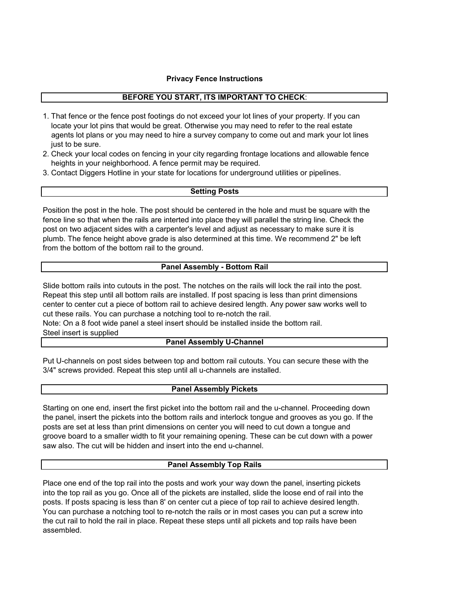#### **Privacy Fence Instructions**

## **BEFORE YOU START, ITS IMPORTANT TO CHECK**:

- locate your lot pins that would be great. Otherwise you may need to refer to the real estate agents lot plans or you may need to hire a survey company to come out and mark your lot lines just to be sure. 1. That fence or the fence post footings do not exceed your lot lines of your property. If you can
- heights in your neighborhood. A fence permit may be required. 2. Check your local codes on fencing in your city regarding frontage locations and allowable fence
- 3. Contact Diggers Hotline in your state for locations for underground utilities or pipelines.

### **Setting Posts**

from the bottom of the bottom rail to the ground. Position the post in the hole. The post should be centered in the hole and must be square with the fence line so that when the rails are interted into place they will parallel the string line. Check the post on two adjacent sides with a carpenter's level and adjust as necessary to make sure it is plumb. The fence height above grade is also determined at this time. We recommend 2" be left

### **Panel Assembly - Bottom Rail**

center to center cut a piece of bottom rail to achieve desired length. Any power saw works well to cut these rails. You can purchase a notching tool to re-notch the rail. Slide bottom rails into cutouts in the post. The notches on the rails will lock the rail into the post. Repeat this step until all bottom rails are installed. If post spacing is less than print dimensions

Note: On a 8 foot wide panel a steel insert should be installed inside the bottom rail. Steel insert is supplied

### **Panel Assembly U-Channel**

Put U-channels on post sides between top and bottom rail cutouts. You can secure these with the 3/4" screws provided. Repeat this step until all u-channels are installed.

## **Panel Assembly Pickets**

Starting on one end, insert the first picket into the bottom rail and the u-channel. Proceeding down the panel, insert the pickets into the bottom rails and interlock tongue and grooves as you go. If the posts are set at less than print dimensions on center you will need to cut down a tongue and groove board to a smaller width to fit your remaining opening. These can be cut down with a power saw also. The cut will be hidden and insert into the end u-channel.

#### **Panel Assembly Top Rails**

Place one end of the top rail into the posts and work your way down the panel, inserting pickets into the top rail as you go. Once all of the pickets are installed, slide the loose end of rail into the posts. If posts spacing is less than 8' on center cut a piece of top rail to achieve desired length. You can purchase a notching tool to re-notch the rails or in most cases you can put a screw into the cut rail to hold the rail in place. Repeat these steps until all pickets and top rails have been assembled.